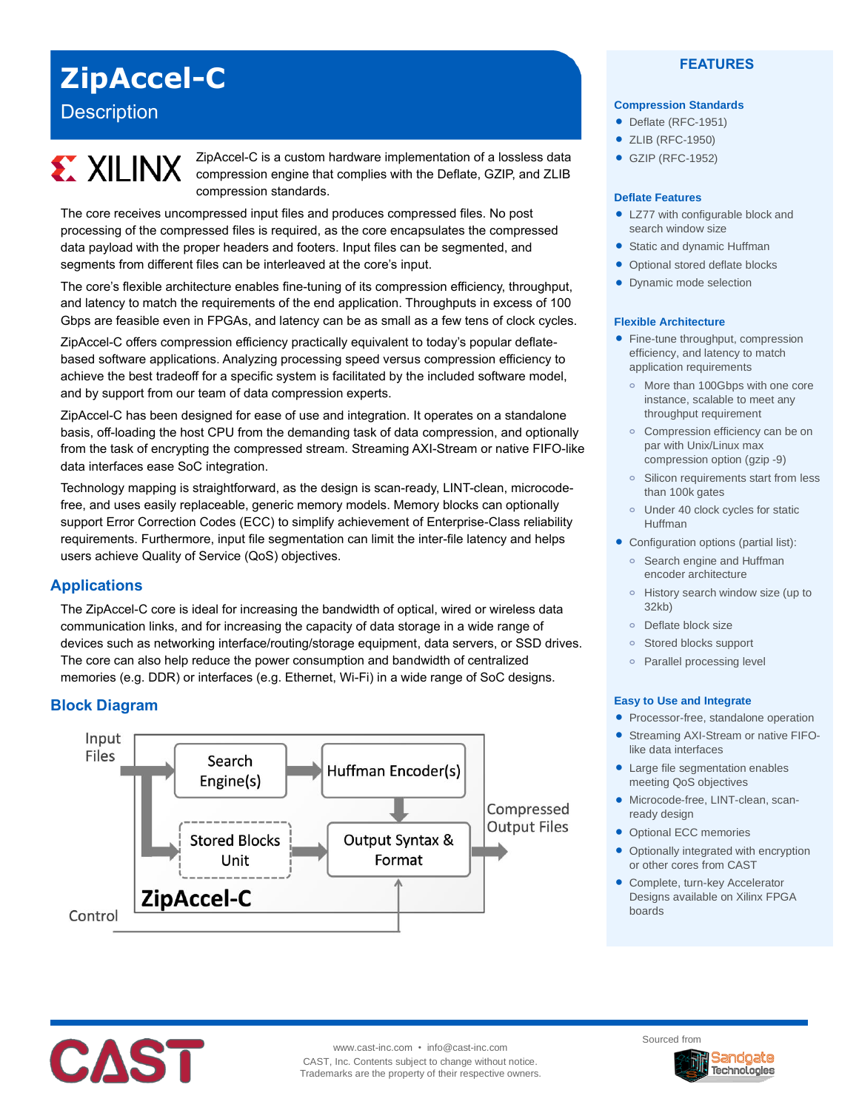## **ZipAccel-C**

## **Description**

# **EX XILINX**

ZipAccel-C is a custom hardware implementation of a lossless data compression engine that complies with the Deflate, GZIP, and ZLIB compression standards.

The core receives uncompressed input files and produces compressed files. No post processing of the compressed files is required, as the core encapsulates the compressed data payload with the proper headers and footers. Input files can be segmented, and segments from different files can be interleaved at the core's input.

The core's flexible architecture enables fine-tuning of its compression efficiency, throughput, and latency to match the requirements of the end application. Throughputs in excess of 100 Gbps are feasible even in FPGAs, and latency can be as small as a few tens of clock cycles.

ZipAccel-C offers compression efficiency practically equivalent to today's popular deflatebased software applications. Analyzing processing speed versus compression efficiency to achieve the best tradeoff for a specific system is facilitated by the included software model, and by support from our team of data compression experts.

ZipAccel-C has been designed for ease of use and integration. It operates on a standalone basis, off-loading the host CPU from the demanding task of data compression, and optionally from the task of encrypting the compressed stream. Streaming AXI-Stream or native FIFO-like data interfaces ease SoC integration.

Technology mapping is straightforward, as the design is scan-ready, LINT-clean, microcodefree, and uses easily replaceable, generic memory models. Memory blocks can optionally support Error Correction Codes (ECC) to simplify achievement of Enterprise-Class reliability requirements. Furthermore, input file segmentation can limit the inter-file latency and helps users achieve Quality of Service (QoS) objectives.

#### **Applications**

The ZipAccel-C core is ideal for increasing the bandwidth of optical, wired or wireless data communication links, and for increasing the capacity of data storage in a wide range of devices such as networking interface/routing/storage equipment, data servers, or SSD drives. The core can also help reduce the power consumption and bandwidth of centralized memories (e.g. DDR) or interfaces (e.g. Ethernet, Wi-Fi) in a wide range of SoC designs.

### **Block Diagram**



#### **FEATURES**

#### **Compression Standards**

- Deflate (RFC-1951)
- ZLIB (RFC-1950)
- GZIP (RFC-1952)

#### **Deflate Features**

- LZ77 with configurable block and search window size
- Static and dynamic Huffman
- Optional stored deflate blocks
- Dynamic mode selection

#### **Flexible Architecture**

- Fine-tune throughput, compression efficiency, and latency to match application requirements
	- **o** More than 100Gbps with one core instance, scalable to meet any throughput requirement
	- **o** Compression efficiency can be on par with Unix/Linux max compression option (gzip -9)
	- **o** Silicon requirements start from less than 100k gates
	- **o** Under 40 clock cycles for static Huffman
- Configuration options (partial list):
	- **o** Search engine and Huffman encoder architecture
	- **o** History search window size (up to 32kb)
	- **o** Deflate block size
	- **o** Stored blocks support
	- **o** Parallel processing level

#### **Easy to Use and Integrate**

- Processor-free, standalone operation
- Streaming AXI-Stream or native FIFOlike data interfaces
- Large file segmentation enables meeting QoS objectives
- Microcode-free, LINT-clean, scanready design
- Optional ECC memories
- Optionally integrated with encryption or other cores from CAST
- Complete, turn-key Accelerator Designs available on Xilinx FPGA boards



www.cast-inc.com • info@cast-inc.com CAST, Inc. Contents subject to change without notice. Trademarks are the property of their respective owners. Sourced from